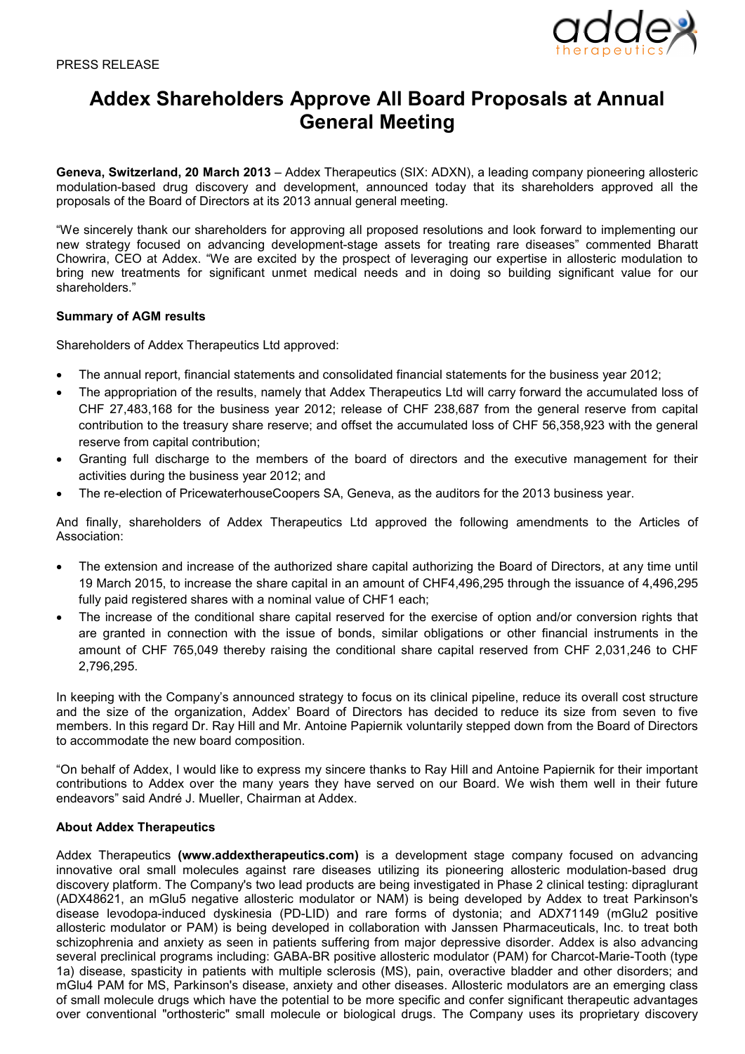

## **Addex Shareholders Approve All Board Proposals at Annual General Meeting**

**Geneva, Switzerland, 20 March 2013** – Addex Therapeutics (SIX: ADXN), a leading company pioneering allosteric modulation-based drug discovery and development, announced today that its shareholders approved all the proposals of the Board of Directors at its 2013 annual general meeting.

"We sincerely thank our shareholders for approving all proposed resolutions and look forward to implementing our new strategy focused on advancing development-stage assets for treating rare diseases" commented Bharatt Chowrira, CEO at Addex. "We are excited by the prospect of leveraging our expertise in allosteric modulation to bring new treatments for significant unmet medical needs and in doing so building significant value for our shareholders."

## **Summary of AGM results**

Shareholders of Addex Therapeutics Ltd approved:

- The annual report, financial statements and consolidated financial statements for the business year 2012;
- The appropriation of the results, namely that Addex Therapeutics Ltd will carry forward the accumulated loss of CHF 27,483,168 for the business year 2012; release of CHF 238,687 from the general reserve from capital contribution to the treasury share reserve; and offset the accumulated loss of CHF 56,358,923 with the general reserve from capital contribution;
- Granting full discharge to the members of the board of directors and the executive management for their activities during the business year 2012; and
- The re-election of PricewaterhouseCoopers SA, Geneva, as the auditors for the 2013 business year.

And finally, shareholders of Addex Therapeutics Ltd approved the following amendments to the Articles of Association:

- The extension and increase of the authorized share capital authorizing the Board of Directors, at any time until 19 March 2015, to increase the share capital in an amount of CHF4,496,295 through the issuance of 4,496,295 fully paid registered shares with a nominal value of CHF1 each;
- The increase of the conditional share capital reserved for the exercise of option and/or conversion rights that are granted in connection with the issue of bonds, similar obligations or other financial instruments in the amount of CHF 765,049 thereby raising the conditional share capital reserved from CHF 2,031,246 to CHF 2,796,295.

In keeping with the Company's announced strategy to focus on its clinical pipeline, reduce its overall cost structure and the size of the organization, Addex' Board of Directors has decided to reduce its size from seven to five members. In this regard Dr. Ray Hill and Mr. Antoine Papiernik voluntarily stepped down from the Board of Directors to accommodate the new board composition.

"On behalf of Addex, I would like to express my sincere thanks to Ray Hill and Antoine Papiernik for their important contributions to Addex over the many years they have served on our Board. We wish them well in their future endeavors" said André J. Mueller, Chairman at Addex.

## **About Addex Therapeutics**

Addex Therapeutics **(www.addextherapeutics.com)** is a development stage company focused on advancing innovative oral small molecules against rare diseases utilizing its pioneering allosteric modulation-based drug discovery platform. The Company's two lead products are being investigated in Phase 2 clinical testing: dipraglurant (ADX48621, an mGlu5 negative allosteric modulator or NAM) is being developed by Addex to treat Parkinson's disease levodopa-induced dyskinesia (PD-LID) and rare forms of dystonia; and ADX71149 (mGlu2 positive allosteric modulator or PAM) is being developed in collaboration with Janssen Pharmaceuticals, Inc. to treat both schizophrenia and anxiety as seen in patients suffering from major depressive disorder. Addex is also advancing several preclinical programs including: GABA-BR positive allosteric modulator (PAM) for Charcot-Marie-Tooth (type 1a) disease, spasticity in patients with multiple sclerosis (MS), pain, overactive bladder and other disorders; and mGlu4 PAM for MS, Parkinson's disease, anxiety and other diseases. Allosteric modulators are an emerging class of small molecule drugs which have the potential to be more specific and confer significant therapeutic advantages over conventional "orthosteric" small molecule or biological drugs. The Company uses its proprietary discovery